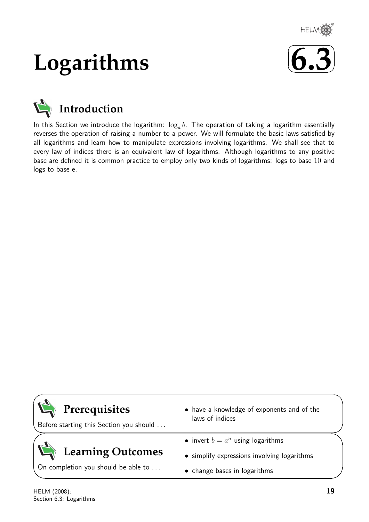

# **Logarithms**





In this Section we introduce the logarithm:  $\log_a b$ . The operation of taking a logarithm essentially reverses the operation of raising a number to a power. We will formulate the basic laws satisfied by all logarithms and learn how to manipulate expressions involving logarithms. We shall see that to every law of indices there is an equivalent law of logarithms. Although logarithms to any positive base are defined it is common practice to employ only two kinds of logarithms: logs to base 10 and logs to base e.

# **Prerequisites**

Before starting this Section you should . . .

# **Learning Outcomes**

On completion you should be able to ...

- have a knowledge of exponents and of the laws of indices
- invert  $b = a^n$  using logarithms
- simplify expressions involving logarithms
- change bases in logarithms

 $\overline{\phantom{0}}$ 

 $\searrow$ 

 $\ge$ 

✧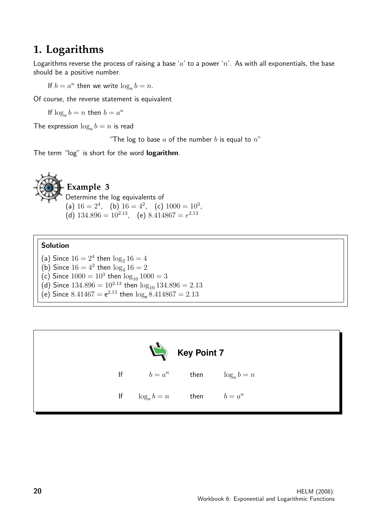## **1. Logarithms**

Logarithms reverse the process of raising a base 'a' to a power 'n'. As with all exponentials, the base should be a positive number.

If  $b = a^n$  then we write  $\log_a b = n$ .

Of course, the reverse statement is equivalent

If  $\log_a b = n$  then  $b = a^n$ 

The expression  $\log_a b = n$  is read

"The log to base  $a$  of the number  $b$  is equal to  $n$ "

The term "log" is short for the word logarithm.



#### Solution

(a) Since  $16 = 2^4$  then  $\log_2 16 = 4$ (b) Since  $16 = 4^2$  then  $\log_4 16 = 2$ (c) Since  $1000 = 10^3$  then  $log_{10} 1000 = 3$ (d) Since  $134.896 = 10^{2.13}$  then  $\log_{10} 134.896 = 2.13$ 

(e) Since  $8.41467 = e^{2.13}$  then  $\log_e 8.414867 = 2.13$ 

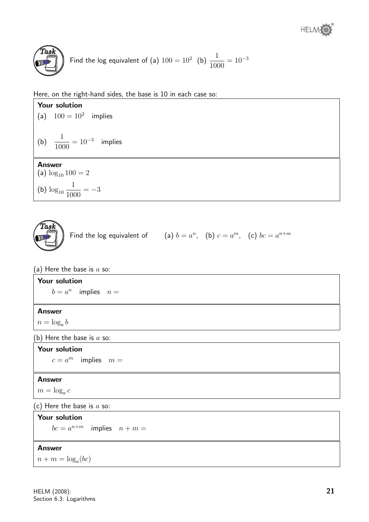

Find the log equivalent of (a)  $100 = 10^2$  (b)  $\frac{1}{100}$ 1000  $= 10^{-3}$ 

Here, on the right-hand sides, the base is 10 in each case so:



 $n + m = \log_a(bc)$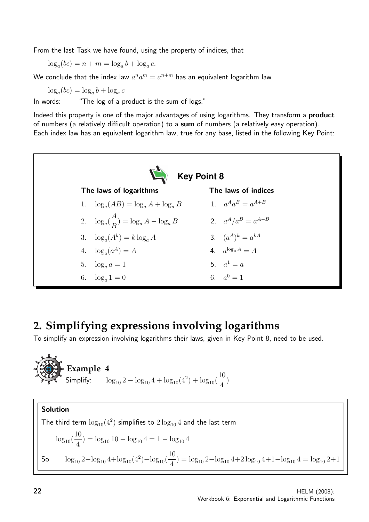From the last Task we have found, using the property of indices, that

 $\log_a(bc) = n + m = \log_a b + \log_a c.$ 

We conclude that the index law  $a^n a^m = a^{n+m}$  has an equivalent logarithm law

 $\log_a(bc) = \log_a b + \log_a c$ 

In words: "The log of a product is the sum of logs."

Indeed this property is one of the major advantages of using logarithms. They transform a **product** of numbers (a relatively difficult operation) to a sum of numbers (a relatively easy operation). Each index law has an equivalent logarithm law, true for any base, listed in the following Key Point:



# **2. Simplifying expressions involving logarithms**

To simplify an expression involving logarithms their laws, given in Key Point 8, need to be used.



**Solution**  
The third term 
$$
\log_{10}(4^2)
$$
 simplifies to  $2\log_{10} 4$  and the last term  
 $\log_{10}(\frac{10}{4}) = \log_{10} 10 - \log_{10} 4 = 1 - \log_{10} 4$   
So  $\log_{10} 2 - \log_{10} 4 + \log_{10}(4^2) + \log_{10}(\frac{10}{4}) = \log_{10} 2 - \log_{10} 4 + 2 \log_{10} 4 + 1 - \log_{10} 4 = \log_{10} 2 + 1$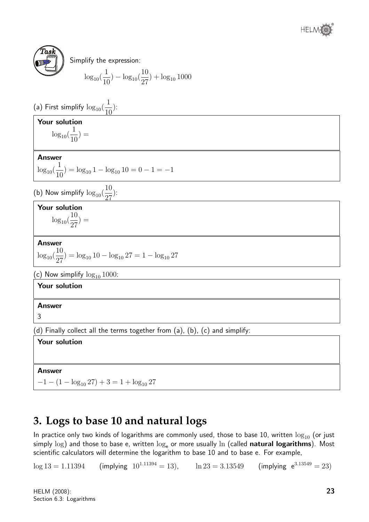



Simplify the expression:

$$
\log_{10}(\frac{1}{10}) - \log_{10}(\frac{10}{27}) + \log_{10}1000
$$

(a) First simplify  $\log_{10}($ 1 10 ):

### Your solution

 $\log_{10}($ 1 10  $) =$ 

Answer

 $\log_{10}($ 1  $\frac{1}{10}$ ) = log<sub>10</sub> 1 - log<sub>10</sub> 10 = 0 - 1 = -1

(b) Now simplify  $\log_{10}($ 10 27 ):

Your solution 10

 $\log_{10}($ 27  $) =$ 

Answer

 $\log_{10}($ 10  $\frac{18}{27}$ ) = log<sub>10</sub> 10 - log<sub>10</sub> 27 = 1 - log<sub>10</sub> 27

(c) Now simplify  $log_{10} 1000$ :

Your solution

Answer

3

(d) Finally collect all the terms together from (a), (b), (c) and simplify:

Your solution

#### **Answer**

 $-1 - (1 - \log_{10} 27) + 3 = 1 + \log_{10} 27$ 

# **3. Logs to base 10 and natural logs**

In practice only two kinds of logarithms are commonly used, those to base 10, written  $\log_{10}$  (or just simply log) and those to base e, written  $\log_e$  or more usually ln (called natural logarithms). Most scientific calculators will determine the logarithm to base 10 and to base e. For example,

 $\log 13 = 1.11394$  (implying  $10^{1.11394} = 13$ ),  $\ln 23 = 3.13549$  (implying  $e^{3.13549} = 23$ )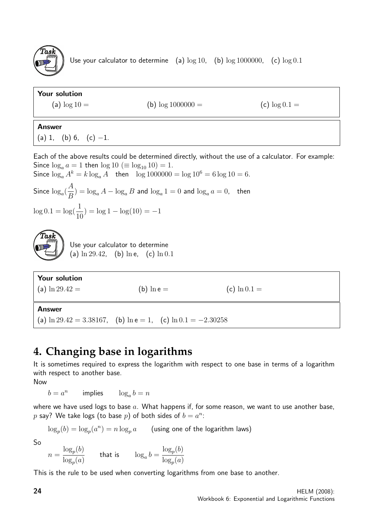

Use your calculator to determine (a)  $\log 10$ , (b)  $\log 1000000$ , (c)  $\log 0.1$ 

# Your solution (a)  $\log 10 =$  (b)  $\log 1000000 =$  (c)  $\log 0.1 =$ Answer (a) 1, (b) 6, (c)  $-1$ . Each of the above results could be determined directly, without the use of a calculator. For example: Since  $\log_a a = 1$  then  $\log 10 \ (\equiv \log_{10} 10) = 1$ .

Since  $\log_a A^k = k \log_a A$  then  $\log 1000000 = \log 10^6 = 6 \log 10 = 6$ . Since  $log_a($ A  $\left(\frac{H}{B}\right) = \log_a A - \log_a B$  and  $\log_a 1 = 0$  and  $\log_a a = 0$ , then  $\log 0.1 = \log(\frac{1}{16})$ 10  $) = \log 1 - \log(10) = -1$  $\widehat{T}$ as $\widehat{k}$ Use your calculator to determine (a)  $\ln 29.42$ , (b)  $\ln e$ , (c)  $\ln 0.1$ Your solution (a)  $\ln 29.42 =$  (b)  $\ln e =$  (c)  $\ln 0.1 =$ 

Answer

(a)  $\ln 29.42 = 3.38167$ , (b)  $\ln e = 1$ , (c)  $\ln 0.1 = -2.30258$ 

# **4. Changing base in logarithms**

It is sometimes required to express the logarithm with respect to one base in terms of a logarithm with respect to another base.

Now

 $b = a^n$ implies  $\log_a b = n$ 

where we have used logs to base  $a$ . What happens if, for some reason, we want to use another base,  $p$  say? We take logs (to base  $p$ ) of both sides of  $b = a^n$ :

 $\log_p(b) = \log_p(a^n) = n \log_p a$  (using one of the logarithm laws)

So

$$
n = \frac{\log_p(b)}{\log_p(a)} \qquad \text{that is} \qquad \log_a b = \frac{\log_p(b)}{\log_p(a)}
$$

This is the rule to be used when converting logarithms from one base to another.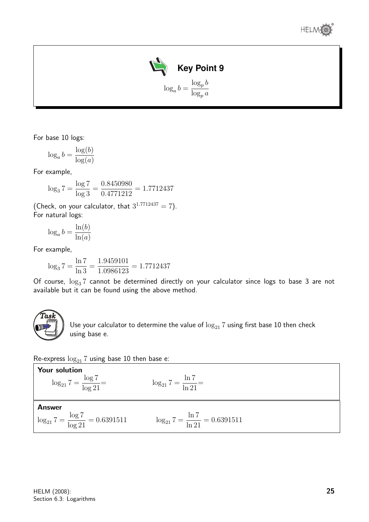



For base 10 logs:

$$
\log_a b = \frac{\log(b)}{\log(a)}
$$

For example,

$$
\log_3 7 = \frac{\log 7}{\log 3} = \frac{0.8450980}{0.4771212} = 1.7712437
$$

(Check, on your calculator, that  $3^{1.7712437} = 7$ ). For natural logs:

$$
\log_a b = \frac{\ln(b)}{\ln(a)}
$$

For example,

$$
\log_3 7 = \frac{\ln 7}{\ln 3} = \frac{1.9459101}{1.0986123} = 1.7712437
$$

Of course,  $\log_3 7$  cannot be determined directly on your calculator since logs to base 3 are not available but it can be found using the above method.



Use your calculator to determine the value of  $\log_{21} 7$  using first base 10 then check using base e.

Re-express  $\log_{21} 7$  using base 10 then base e:

**Your solution**  
\n
$$
\log_{21} 7 = \frac{\log 7}{\log 21} =
$$
\n
$$
\log_{21} 7 = \frac{\ln 7}{\ln 21} =
$$
\n**Answer**  
\n
$$
\log_{21} 7 = \frac{\log 7}{\log 21} = 0.6391511
$$
\n
$$
\log_{21} 7 = \frac{\ln 7}{\ln 21} = 0.6391511
$$